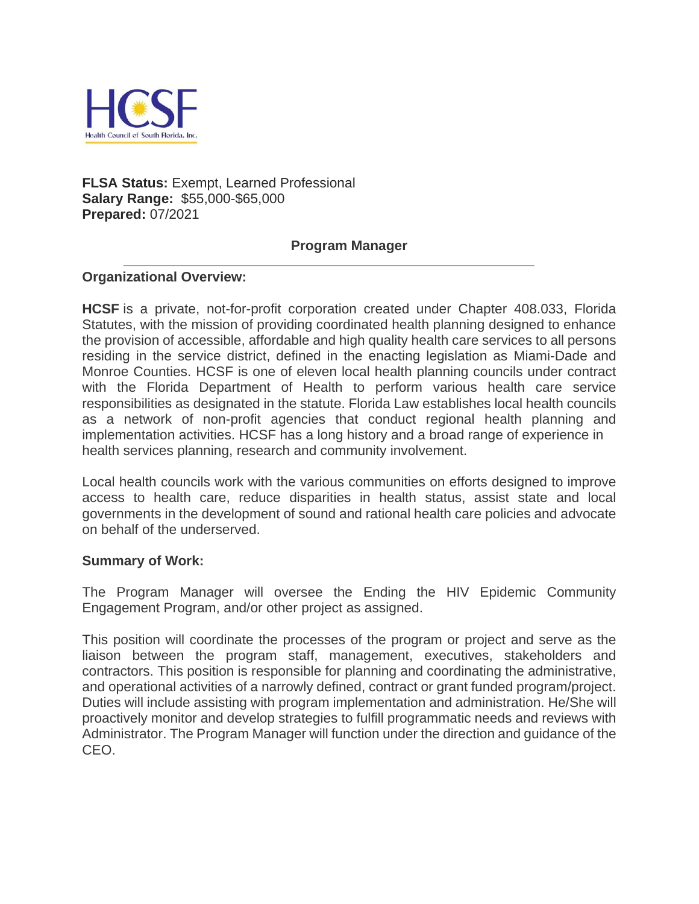

## **FLSA Status:** Exempt, Learned Professional **Salary Range:** \$55,000-\$65,000 **Prepared:** 07/2021

## **Program Manager**

## **Organizational Overview:**

**HCSF** is a private, not-for-profit corporation created under Chapter 408.033, Florida Statutes, with the mission of providing coordinated health planning designed to enhance the provision of accessible, affordable and high quality health care services to all persons residing in the service district, defined in the enacting legislation as Miami-Dade and Monroe Counties. HCSF is one of eleven local health planning councils under contract with the Florida Department of Health to perform various health care service responsibilities as designated in the statute. Florida Law establishes local health councils as a network of non-profit agencies that conduct regional health planning and implementation activities. HCSF has a long history and a broad range of experience in health services planning, research and community involvement.

Local health councils work with the various communities on efforts designed to improve access to health care, reduce disparities in health status, assist state and local governments in the development of sound and rational health care policies and advocate on behalf of the underserved.

#### **Summary of Work:**

The Program Manager will oversee the Ending the HIV Epidemic Community Engagement Program, and/or other project as assigned.

This position will coordinate the processes of the program or project and serve as the liaison between the program staff, management, executives, stakeholders and contractors. This position is responsible for planning and coordinating the administrative, and operational activities of a narrowly defined, contract or grant funded program/project. Duties will include assisting with program implementation and administration. He/She will proactively monitor and develop strategies to fulfill programmatic needs and reviews with Administrator. The Program Manager will function under the direction and guidance of the CEO.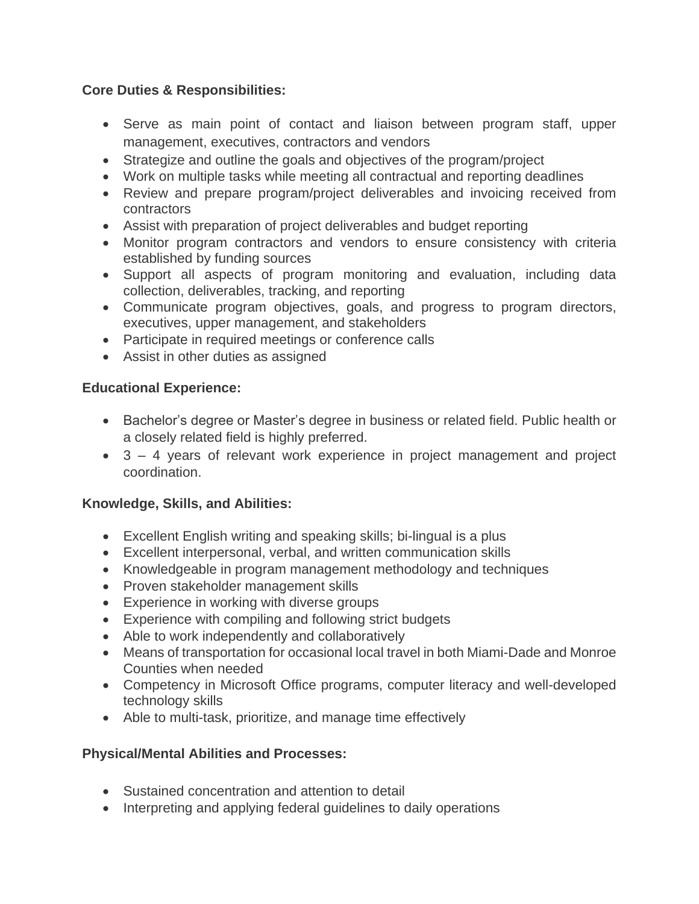## **Core Duties & Responsibilities:**

- Serve as main point of contact and liaison between program staff, upper management, executives, contractors and vendors
- Strategize and outline the goals and objectives of the program/project
- Work on multiple tasks while meeting all contractual and reporting deadlines
- Review and prepare program/project deliverables and invoicing received from contractors
- Assist with preparation of project deliverables and budget reporting
- Monitor program contractors and vendors to ensure consistency with criteria established by funding sources
- Support all aspects of program monitoring and evaluation, including data collection, deliverables, tracking, and reporting
- Communicate program objectives, goals, and progress to program directors, executives, upper management, and stakeholders
- Participate in required meetings or conference calls
- Assist in other duties as assigned

## **Educational Experience:**

- Bachelor's degree or Master's degree in business or related field. Public health or a closely related field is highly preferred.
- 3 4 years of relevant work experience in project management and project coordination.

# **Knowledge, Skills, and Abilities:**

- Excellent English writing and speaking skills; bi-lingual is a plus
- Excellent interpersonal, verbal, and written communication skills
- Knowledgeable in program management methodology and techniques
- Proven stakeholder management skills
- Experience in working with diverse groups
- Experience with compiling and following strict budgets
- Able to work independently and collaboratively
- Means of transportation for occasional local travel in both Miami-Dade and Monroe Counties when needed
- Competency in Microsoft Office programs, computer literacy and well-developed technology skills
- Able to multi-task, prioritize, and manage time effectively

# **Physical/Mental Abilities and Processes:**

- Sustained concentration and attention to detail
- Interpreting and applying federal guidelines to daily operations